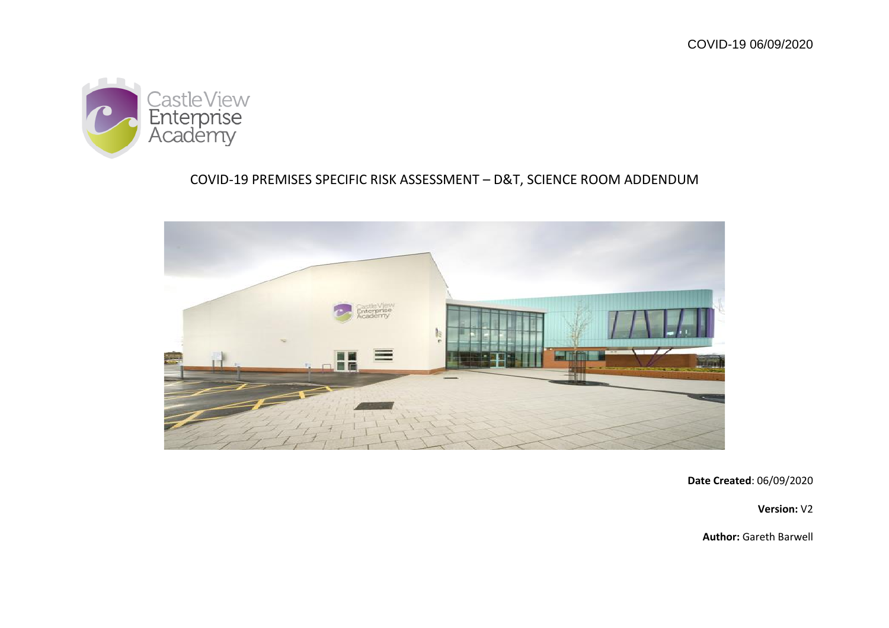

# COVID-19 PREMISES SPECIFIC RISK ASSESSMENT – D&T, SCIENCE ROOM ADDENDUM



**Date Created**: 06/09/2020

**Version:** V2

**Author:** Gareth Barwell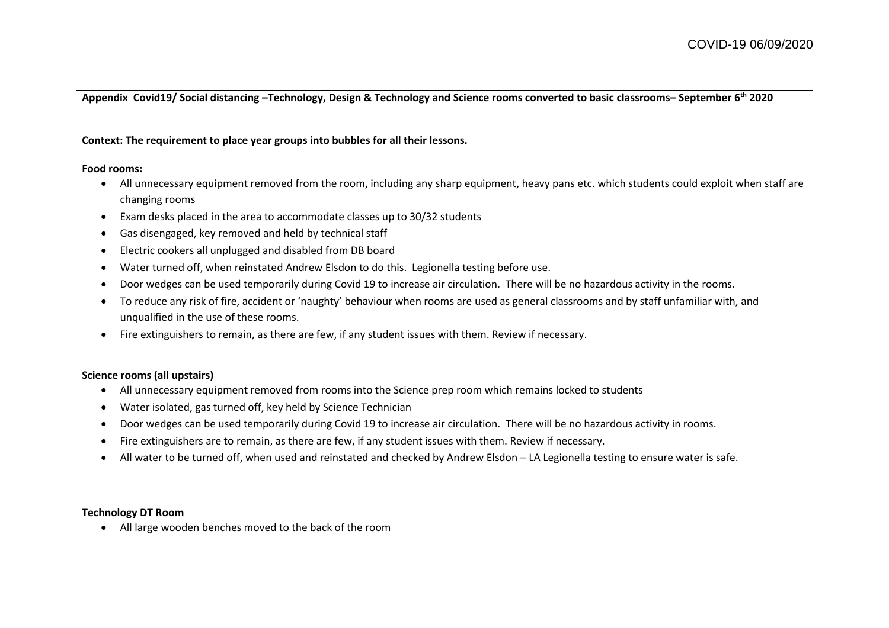**Appendix Covid19/ Social distancing –Technology, Design & Technology and Science rooms converted to basic classrooms– September 6th 2020**

## **Context: The requirement to place year groups into bubbles for all their lessons.**

### **Food rooms:**

- All unnecessary equipment removed from the room, including any sharp equipment, heavy pans etc. which students could exploit when staff are changing rooms
- Exam desks placed in the area to accommodate classes up to 30/32 students
- Gas disengaged, key removed and held by technical staff
- Electric cookers all unplugged and disabled from DB board
- Water turned off, when reinstated Andrew Elsdon to do this. Legionella testing before use.
- Door wedges can be used temporarily during Covid 19 to increase air circulation. There will be no hazardous activity in the rooms.
- To reduce any risk of fire, accident or 'naughty' behaviour when rooms are used as general classrooms and by staff unfamiliar with, and unqualified in the use of these rooms.
- Fire extinguishers to remain, as there are few, if any student issues with them. Review if necessary.

# **Science rooms (all upstairs)**

- All unnecessary equipment removed from rooms into the Science prep room which remains locked to students
- Water isolated, gas turned off, key held by Science Technician
- Door wedges can be used temporarily during Covid 19 to increase air circulation. There will be no hazardous activity in rooms.
- Fire extinguishers are to remain, as there are few, if any student issues with them. Review if necessary.
- All water to be turned off, when used and reinstated and checked by Andrew Elsdon LA Legionella testing to ensure water is safe.

## **Technology DT Room**

All large wooden benches moved to the back of the room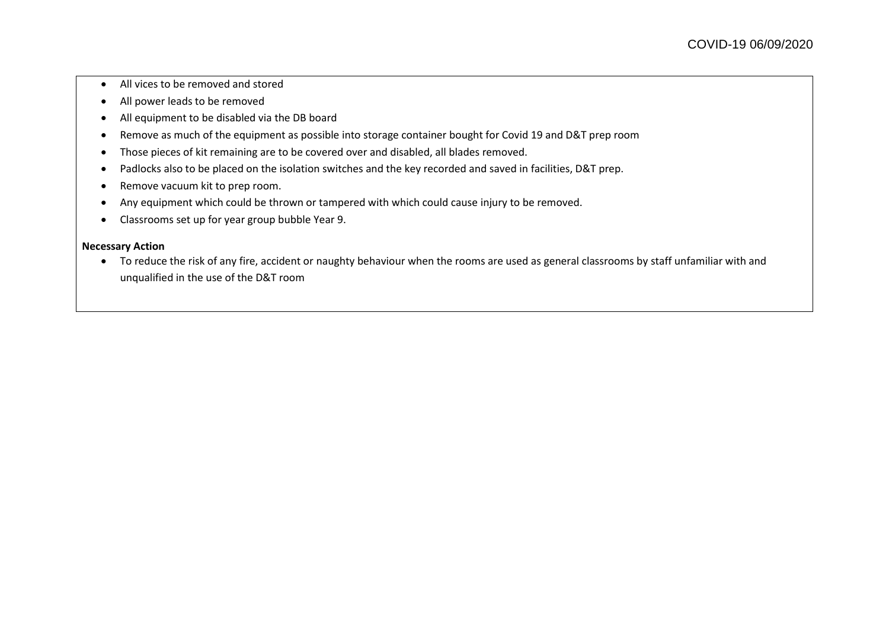- All vices to be removed and stored
- All power leads to be removed
- All equipment to be disabled via the DB board
- Remove as much of the equipment as possible into storage container bought for Covid 19 and D&T prep room
- Those pieces of kit remaining are to be covered over and disabled, all blades removed.
- Padlocks also to be placed on the isolation switches and the key recorded and saved in facilities, D&T prep.
- Remove vacuum kit to prep room.
- Any equipment which could be thrown or tampered with which could cause injury to be removed.
- Classrooms set up for year group bubble Year 9.

### **Necessary Action**

• To reduce the risk of any fire, accident or naughty behaviour when the rooms are used as general classrooms by staff unfamiliar with and unqualified in the use of the D&T room